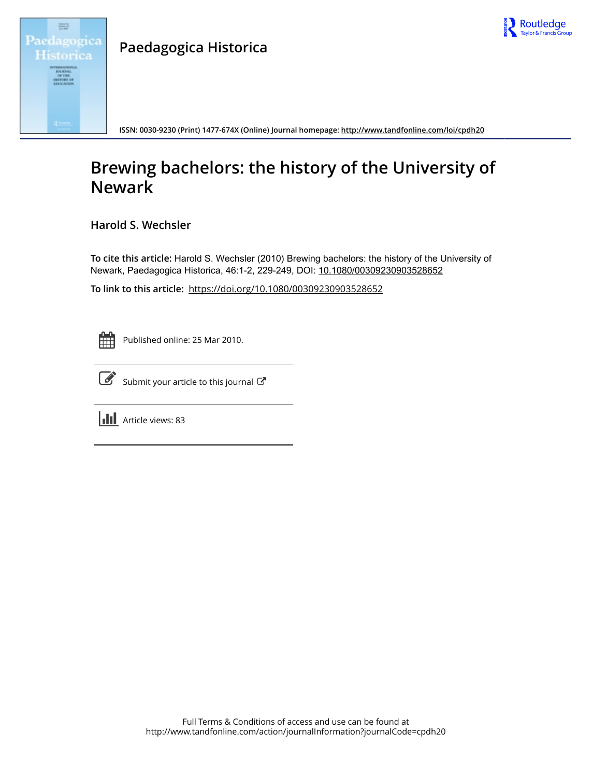

# $\frac{2\pi m_{\pi} T_{\pi}}{2\pi m_{\pi}}$ aedagogica

**Paedagogica Historica**

**ISSN: 0030-9230 (Print) 1477-674X (Online) Journal homepage: <http://www.tandfonline.com/loi/cpdh20>**

## **Brewing bachelors: the history of the University of Newark**

**Harold S. Wechsler**

**To cite this article:** Harold S. Wechsler (2010) Brewing bachelors: the history of the University of Newark, Paedagogica Historica, 46:1-2, 229-249, DOI: [10.1080/00309230903528652](http://www.tandfonline.com/action/showCitFormats?doi=10.1080/00309230903528652)

**To link to this article:** <https://doi.org/10.1080/00309230903528652>



Published online: 25 Mar 2010.



 $\overrightarrow{S}$  [Submit your article to this journal](http://www.tandfonline.com/action/authorSubmission?journalCode=cpdh20&show=instructions)  $\overrightarrow{S}$ 

**III** Article views: 83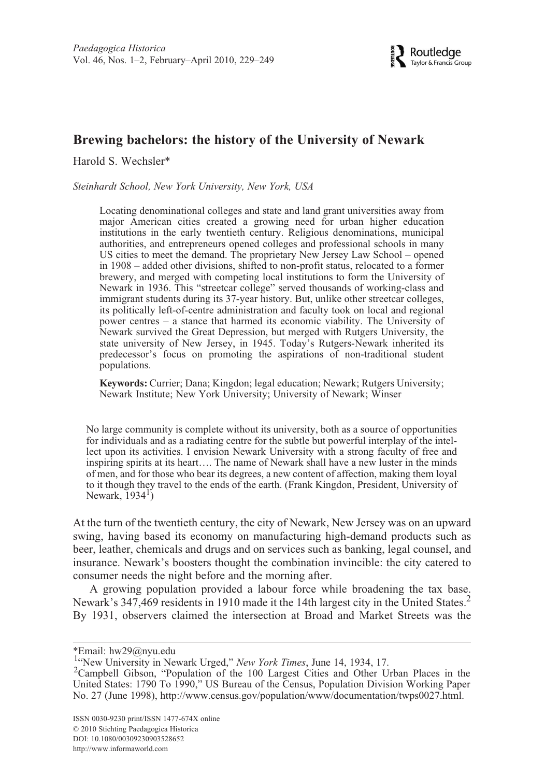### **Brewing bachelors: the history of the University of Newark**

Harold S. Wechsler\*

*Steinhardt School, New York University, New York, USA*

Locating denominational colleges and state and land grant universities away from major American cities created a growing need for urban higher education institutions in the early twentieth century. Religious denominations, municipal authorities, and entrepreneurs opened colleges and professional schools in many US cities to meet the demand. The proprietary New Jersey Law School – opened in 1908 – added other divisions, shifted to non-profit status, relocated to a former brewery, and merged with competing local institutions to form the University of Newark in 1936. This "streetcar college" served thousands of working-class and immigrant students during its 37-year history. But, unlike other streetcar colleges, its politically left-of-centre administration and faculty took on local and regional power centres – a stance that harmed its economic viability. The University of Newark survived the Great Depression, but merged with Rutgers University, the state university of New Jersey, in 1945. Today's Rutgers-Newark inherited its predecessor's focus on promoting the aspirations of non-traditional student populations.

**Keywords:** Currier; Dana; Kingdon; legal education; Newark; Rutgers University; Newark Institute; New York University; University of Newark; Winser

No large community is complete without its university, both as a source of opportunities for individuals and as a radiating centre for the subtle but powerful interplay of the intellect upon its activities. I envision Newark University with a strong faculty of free and inspiring spirits at its heart…. The name of Newark shall have a new luster in the minds of men, and for those who bear its degrees, a new content of affection, making them loyal to it though they travel to the ends of the earth. (Frank Kingdon, President, University of Newark,  $1934^1$ )

At the turn of the twentieth century, the city of Newark, New Jersey was on an upward swing, having based its economy on manufacturing high-demand products such as beer, leather, chemicals and drugs and on services such as banking, legal counsel, and insurance. Newark's boosters thought the combination invincible: the city catered to consumer needs the night before and the morning after.

A growing population provided a labour force while broadening the tax base. Newark's 347,469 residents in 1910 made it the 14th largest city in the United States.<sup>2</sup> By 1931, observers claimed the intersection at Broad and Market Streets was the

<sup>\*</sup>Email: hw29@nyu.edu

<sup>&</sup>lt;sup>1</sup> New University in Newark Urged," *New York Times*, June 14, 1934, 17.<br><sup>2</sup> Campbell Gibson "Population of the 100 I argest Cities and Other II

<sup>&</sup>lt;sup>2</sup>Campbell Gibson, "Population of the 100 Largest Cities and Other Urban Places in the United States: 1790 To 1990," US Bureau of the Census, Population Division Working Paper No. 27 (June 1998), http://www.census.gov/population/www/documentation/twps0027.html.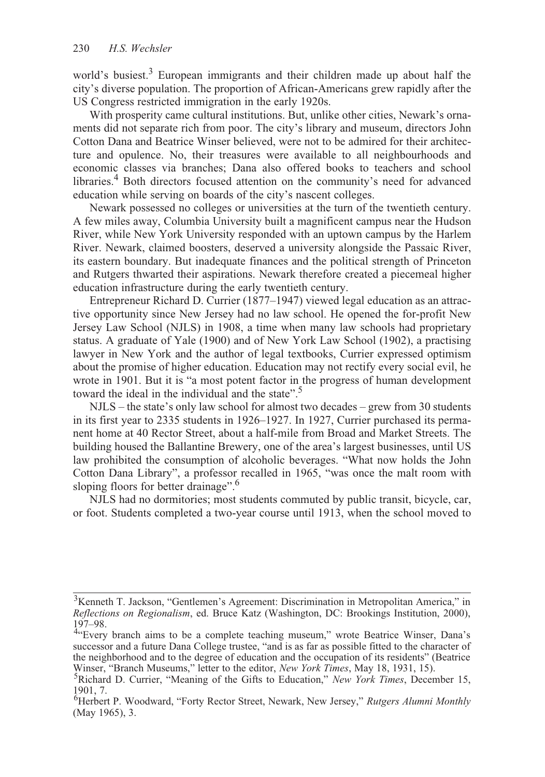world's busiest.<sup>3</sup> European immigrants and their children made up about half the city's diverse population. The proportion of African-Americans grew rapidly after the US Congress restricted immigration in the early 1920s.

With prosperity came cultural institutions. But, unlike other cities, Newark's ornaments did not separate rich from poor. The city's library and museum, directors John Cotton Dana and Beatrice Winser believed, were not to be admired for their architecture and opulence. No, their treasures were available to all neighbourhoods and economic classes via branches; Dana also offered books to teachers and school libraries.4 Both directors focused attention on the community's need for advanced education while serving on boards of the city's nascent colleges.

Newark possessed no colleges or universities at the turn of the twentieth century. A few miles away, Columbia University built a magnificent campus near the Hudson River, while New York University responded with an uptown campus by the Harlem River. Newark, claimed boosters, deserved a university alongside the Passaic River, its eastern boundary. But inadequate finances and the political strength of Princeton and Rutgers thwarted their aspirations. Newark therefore created a piecemeal higher education infrastructure during the early twentieth century.

Entrepreneur Richard D. Currier (1877–1947) viewed legal education as an attractive opportunity since New Jersey had no law school. He opened the for-profit New Jersey Law School (NJLS) in 1908, a time when many law schools had proprietary status. A graduate of Yale (1900) and of New York Law School (1902), a practising lawyer in New York and the author of legal textbooks, Currier expressed optimism about the promise of higher education. Education may not rectify every social evil, he wrote in 1901. But it is "a most potent factor in the progress of human development toward the ideal in the individual and the state".<sup>5</sup>

NJLS – the state's only law school for almost two decades – grew from 30 students in its first year to 2335 students in 1926–1927. In 1927, Currier purchased its permanent home at 40 Rector Street, about a half-mile from Broad and Market Streets. The building housed the Ballantine Brewery, one of the area's largest businesses, until US law prohibited the consumption of alcoholic beverages. "What now holds the John Cotton Dana Library", a professor recalled in 1965, "was once the malt room with sloping floors for better drainage".<sup>6</sup>

NJLS had no dormitories; most students commuted by public transit, bicycle, car, or foot. Students completed a two-year course until 1913, when the school moved to

<sup>&</sup>lt;sup>3</sup>Kenneth T. Jackson, "Gentlemen's Agreement: Discrimination in Metropolitan America," in *Reflections on Regionalism*, ed. Bruce Katz (Washington, DC: Brookings Institution, 2000), 197–98.

<sup>&</sup>lt;sup>4</sup>"Every branch aims to be a complete teaching museum," wrote Beatrice Winser, Dana's successor and a future Dana College trustee, "and is as far as possible fitted to the character of the neighborhood and to the degree of education and the occupation of its residents" (Beatrice Winser, "Branch Museums," letter to the editor, *New York Times*, May 18, 1931, 15).<br><sup>5</sup> Richard D. Currier, "Meaning of the Gifts to Education," *New York Times*, December 15,

<sup>1901, 7.</sup>

<sup>6</sup> Herbert P. Woodward, "Forty Rector Street, Newark, New Jersey," *Rutgers Alumni Monthly* (May 1965), 3.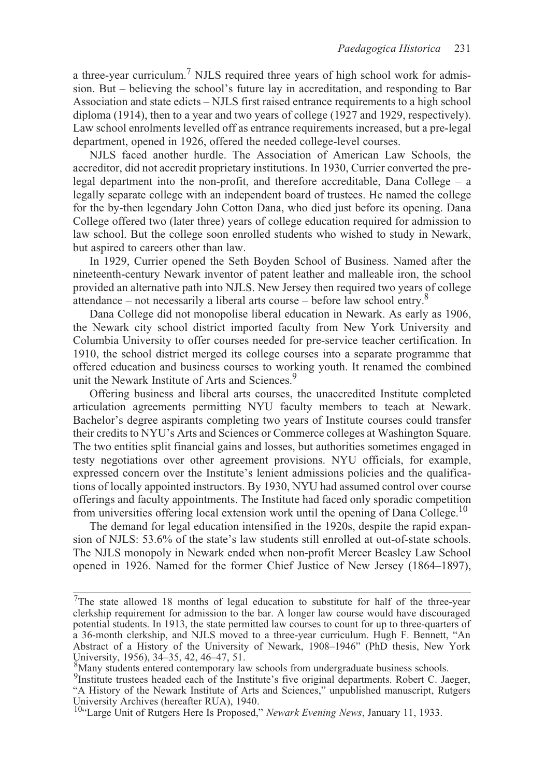a three-year curriculum.<sup>7</sup> NJLS required three years of high school work for admission. But – believing the school's future lay in accreditation, and responding to Bar Association and state edicts – NJLS first raised entrance requirements to a high school diploma (1914), then to a year and two years of college (1927 and 1929, respectively). Law school enrolments levelled off as entrance requirements increased, but a pre-legal department, opened in 1926, offered the needed college-level courses.

NJLS faced another hurdle. The Association of American Law Schools, the accreditor, did not accredit proprietary institutions. In 1930, Currier converted the prelegal department into the non-profit, and therefore accreditable, Dana College – a legally separate college with an independent board of trustees. He named the college for the by-then legendary John Cotton Dana, who died just before its opening. Dana College offered two (later three) years of college education required for admission to law school. But the college soon enrolled students who wished to study in Newark, but aspired to careers other than law.

In 1929, Currier opened the Seth Boyden School of Business. Named after the nineteenth-century Newark inventor of patent leather and malleable iron, the school provided an alternative path into NJLS. New Jersey then required two years of college attendance – not necessarily a liberal arts course – before law school entry.<sup>8</sup>

Dana College did not monopolise liberal education in Newark. As early as 1906, the Newark city school district imported faculty from New York University and Columbia University to offer courses needed for pre-service teacher certification. In 1910, the school district merged its college courses into a separate programme that offered education and business courses to working youth. It renamed the combined unit the Newark Institute of Arts and Sciences.<sup>9</sup>

Offering business and liberal arts courses, the unaccredited Institute completed articulation agreements permitting NYU faculty members to teach at Newark. Bachelor's degree aspirants completing two years of Institute courses could transfer their credits to NYU's Arts and Sciences or Commerce colleges at Washington Square. The two entities split financial gains and losses, but authorities sometimes engaged in testy negotiations over other agreement provisions. NYU officials, for example, expressed concern over the Institute's lenient admissions policies and the qualifications of locally appointed instructors. By 1930, NYU had assumed control over course offerings and faculty appointments. The Institute had faced only sporadic competition from universities offering local extension work until the opening of Dana College.10

The demand for legal education intensified in the 1920s, despite the rapid expansion of NJLS: 53.6% of the state's law students still enrolled at out-of-state schools. The NJLS monopoly in Newark ended when non-profit Mercer Beasley Law School opened in 1926. Named for the former Chief Justice of New Jersey (1864–1897),

<sup>&</sup>lt;sup>7</sup>The state allowed 18 months of legal education to substitute for half of the three-year clerkship requirement for admission to the bar. A longer law course would have discouraged potential students. In 1913, the state permitted law courses to count for up to three-quarters of a 36-month clerkship, and NJLS moved to a three-year curriculum. Hugh F. Bennett, "An Abstract of a History of the University of Newark, 1908–1946" (PhD thesis, New York University, 1956), 34–35, 42, 46–47, 51.

 $\frac{8}{3}$ Many students entered contemporary law schools from undergraduate business schools.

<sup>&</sup>lt;sup>9</sup>Institute trustees headed each of the Institute's five original departments. Robert C. Jaeger, "A History of the Newark Institute of Arts and Sciences," unpublished manuscript, Rutgers University Archives (hereafter RUA), 1940.

<sup>10&</sup>quot;Large Unit of Rutgers Here Is Proposed," *Newark Evening News*, January 11, 1933.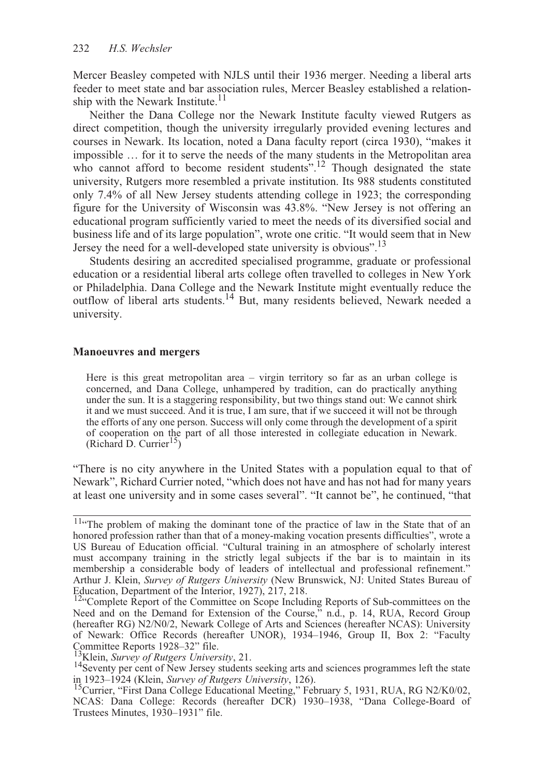Mercer Beasley competed with NJLS until their 1936 merger. Needing a liberal arts feeder to meet state and bar association rules, Mercer Beasley established a relationship with the Newark Institute. $11$ 

Neither the Dana College nor the Newark Institute faculty viewed Rutgers as direct competition, though the university irregularly provided evening lectures and courses in Newark. Its location, noted a Dana faculty report (circa 1930), "makes it impossible … for it to serve the needs of the many students in the Metropolitan area who cannot afford to become resident students".<sup>12</sup> Though designated the state university, Rutgers more resembled a private institution. Its 988 students constituted only 7.4% of all New Jersey students attending college in 1923; the corresponding figure for the University of Wisconsin was 43.8%. "New Jersey is not offering an educational program sufficiently varied to meet the needs of its diversified social and business life and of its large population", wrote one critic. "It would seem that in New Jersey the need for a well-developed state university is obvious".<sup>13</sup>

Students desiring an accredited specialised programme, graduate or professional education or a residential liberal arts college often travelled to colleges in New York or Philadelphia. Dana College and the Newark Institute might eventually reduce the outflow of liberal arts students.14 But, many residents believed, Newark needed a university.

#### **Manoeuvres and mergers**

Here is this great metropolitan area – virgin territory so far as an urban college is concerned, and Dana College, unhampered by tradition, can do practically anything under the sun. It is a staggering responsibility, but two things stand out: We cannot shirk it and we must succeed. And it is true, I am sure, that if we succeed it will not be through the efforts of any one person. Success will only come through the development of a spirit of cooperation on the part of all those interested in collegiate education in Newark. (Richard D. Currier<sup>15</sup>)

"There is no city anywhere in the United States with a population equal to that of Newark", Richard Currier noted, "which does not have and has not had for many years at least one university and in some cases several". "It cannot be", he continued, "that

<sup>11&</sup>quot;The problem of making the dominant tone of the practice of law in the State that of an honored profession rather than that of a money-making vocation presents difficulties", wrote a US Bureau of Education official. "Cultural training in an atmosphere of scholarly interest must accompany training in the strictly legal subjects if the bar is to maintain in its membership a considerable body of leaders of intellectual and professional refinement." Arthur J. Klein, *Survey of Rutgers University* (New Brunswick, NJ: United States Bureau of Education, Department of the Interior, 1927), 217, 218.

<sup>&</sup>lt;sup>12"</sup>Complete Report of the Committee on Scope Including Reports of Sub-committees on the Need and on the Demand for Extension of the Course," n.d., p. 14, RUA, Record Group (hereafter RG) N2/N0/2, Newark College of Arts and Sciences (hereafter NCAS): University of Newark: Office Records (hereafter UNOR), 1934–1946, Group II, Box 2: "Faculty Committee Reports 1928–32" file.<br><sup>13</sup>Klein, Survey of Rutgers University, 21.

<sup>&</sup>lt;sup>14</sup>Seventy per cent of New Jersey students seeking arts and sciences programmes left the state in 1923–1924 (Klein, *Survey of Rutgers University*, 126).

in 1923–1924 (Klein, *Survey of Rutgers University*, 126).<br><sup>15</sup>Currier, "First Dana College Educational Meeting," February 5, 1931, RUA, RG N2/K0/02, NCAS: Dana College: Records (hereafter DCR) 1930–1938, "Dana College-Board of Trustees Minutes, 1930–1931" file.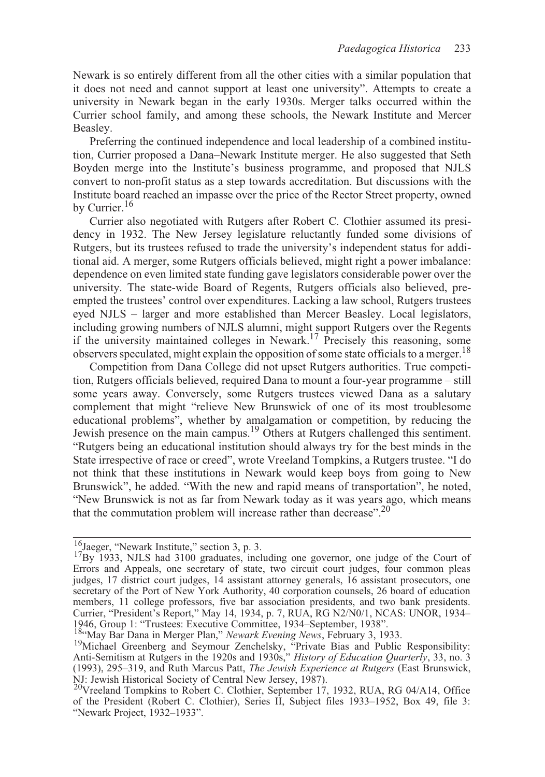Newark is so entirely different from all the other cities with a similar population that it does not need and cannot support at least one university". Attempts to create a university in Newark began in the early 1930s. Merger talks occurred within the Currier school family, and among these schools, the Newark Institute and Mercer Beasley.

Preferring the continued independence and local leadership of a combined institution, Currier proposed a Dana–Newark Institute merger. He also suggested that Seth Boyden merge into the Institute's business programme, and proposed that NJLS convert to non-profit status as a step towards accreditation. But discussions with the Institute board reached an impasse over the price of the Rector Street property, owned by Currier.<sup>16</sup>

Currier also negotiated with Rutgers after Robert C. Clothier assumed its presidency in 1932. The New Jersey legislature reluctantly funded some divisions of Rutgers, but its trustees refused to trade the university's independent status for additional aid. A merger, some Rutgers officials believed, might right a power imbalance: dependence on even limited state funding gave legislators considerable power over the university. The state-wide Board of Regents, Rutgers officials also believed, preempted the trustees' control over expenditures. Lacking a law school, Rutgers trustees eyed NJLS – larger and more established than Mercer Beasley. Local legislators, including growing numbers of NJLS alumni, might support Rutgers over the Regents if the university maintained colleges in Newark.<sup>17</sup> Precisely this reasoning, some observers speculated, might explain the opposition of some state officials to a merger.18

Competition from Dana College did not upset Rutgers authorities. True competition, Rutgers officials believed, required Dana to mount a four-year programme – still some years away. Conversely, some Rutgers trustees viewed Dana as a salutary complement that might "relieve New Brunswick of one of its most troublesome educational problems", whether by amalgamation or competition, by reducing the Jewish presence on the main campus.<sup>19</sup> Others at Rutgers challenged this sentiment. "Rutgers being an educational institution should always try for the best minds in the State irrespective of race or creed", wrote Vreeland Tompkins, a Rutgers trustee. "I do not think that these institutions in Newark would keep boys from going to New Brunswick", he added. "With the new and rapid means of transportation", he noted, "New Brunswick is not as far from Newark today as it was years ago, which means that the commutation problem will increase rather than decrease".20

<sup>&</sup>lt;sup>16</sup>Jaeger, "Newark Institute," section 3, p. 3.  $17By$  1933, NJLS had 3100 graduates, including one governor, one judge of the Court of Errors and Appeals, one secretary of state, two circuit court judges, four common pleas judges, 17 district court judges, 14 assistant attorney generals, 16 assistant prosecutors, one secretary of the Port of New York Authority, 40 corporation counsels, 26 board of education members, 11 college professors, five bar association presidents, and two bank presidents. Currier, "President's Report," May 14, 1934, p. 7, RUA, RG N2/N0/1, NCAS: UNOR, 1934– 1946, Group 1: "Trustees: Executive Committee, 1934–September, 1938".<br><sup>18</sup> "May Bar Dana in Merger Plan," *Newark Evening News*, February 3, 1933.

<sup>&</sup>lt;sup>18"</sup>May Bar Dana in Merger Plan," *Newark Evening News*, February 3, 1933.<br><sup>19</sup>Michael Greenberg and Seymour Zenchelsky, "Private Bias and Public Responsibility: Anti-Semitism at Rutgers in the 1920s and 1930s," *History of Education Quarterly*, 33, no. 3 (1993), 295–319, and Ruth Marcus Patt, *The Jewish Experience at Rutgers* (East Brunswick, NJ: Jewish Historical Society of Central New Jersey, 1987).

<sup>&</sup>lt;sup>20</sup>Vreeland Tompkins to Robert C. Clothier, September 17, 1932, RUA, RG 04/A14, Office of the President (Robert C. Clothier), Series II, Subject files 1933–1952, Box 49, file 3: "Newark Project, 1932–1933".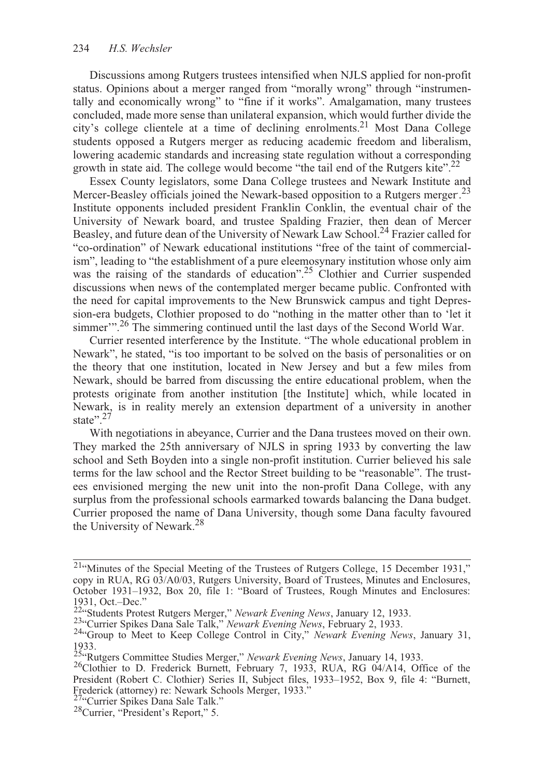Discussions among Rutgers trustees intensified when NJLS applied for non-profit status. Opinions about a merger ranged from "morally wrong" through "instrumentally and economically wrong" to "fine if it works". Amalgamation, many trustees concluded, made more sense than unilateral expansion, which would further divide the city's college clientele at a time of declining enrolments.<sup>21</sup> Most Dana College students opposed a Rutgers merger as reducing academic freedom and liberalism, lowering academic standards and increasing state regulation without a corresponding growth in state aid. The college would become "the tail end of the Rutgers kite".<sup>22</sup>

Essex County legislators, some Dana College trustees and Newark Institute and Mercer-Beasley officials joined the Newark-based opposition to a Rutgers merger.<sup>23</sup> Institute opponents included president Franklin Conklin, the eventual chair of the University of Newark board, and trustee Spalding Frazier, then dean of Mercer Beasley, and future dean of the University of Newark Law School.24 Frazier called for "co-ordination" of Newark educational institutions "free of the taint of commercialism", leading to "the establishment of a pure eleemosynary institution whose only aim was the raising of the standards of education".<sup>25</sup> Clothier and Currier suspended discussions when news of the contemplated merger became public. Confronted with the need for capital improvements to the New Brunswick campus and tight Depression-era budgets, Clothier proposed to do "nothing in the matter other than to 'let it simmer".<sup>26</sup> The simmering continued until the last days of the Second World War.

Currier resented interference by the Institute. "The whole educational problem in Newark", he stated, "is too important to be solved on the basis of personalities or on the theory that one institution, located in New Jersey and but a few miles from Newark, should be barred from discussing the entire educational problem, when the protests originate from another institution [the Institute] which, while located in Newark, is in reality merely an extension department of a university in another state".<sup>27</sup>

With negotiations in abeyance, Currier and the Dana trustees moved on their own. They marked the 25th anniversary of NJLS in spring 1933 by converting the law school and Seth Boyden into a single non-profit institution. Currier believed his sale terms for the law school and the Rector Street building to be "reasonable". The trustees envisioned merging the new unit into the non-profit Dana College, with any surplus from the professional schools earmarked towards balancing the Dana budget. Currier proposed the name of Dana University, though some Dana faculty favoured the University of Newark.28

<sup>&</sup>lt;sup>21</sup>"Minutes of the Special Meeting of the Trustees of Rutgers College, 15 December 1931," copy in RUA, RG 03/A0/03, Rutgers University, Board of Trustees, Minutes and Enclosures, October 1931–1932, Box 20, file 1: "Board of Trustees, Rough Minutes and Enclosures: 1931, Oct.–Dec."<br><sup>22</sup> Students Protest Rutgers Merger," *Newark Evening News*, January 12, 1933.

<sup>&</sup>lt;sup>23</sup>"Currier Spikes Dana Sale Talk," Newark Evening News, February 2, 1933.<br><sup>24</sup>"Group to Meet to Keep College Control in City," Newark Evening News, January 31, 1933.<br><sup>25.</sup> Rutgers Committee Studies Merger," Newark Evening News, January 14, 1933.

<sup>&</sup>lt;sup>26</sup>Clothier to D. Frederick Burnett, February 7, 1933, RUA, RG 04/A14, Office of the President (Robert C. Clothier) Series II, Subject files, 1933–1952, Box 9, file 4: "Burnett, Frederick (attorney) re: Newark Schools Merger, 1933."<br><sup>27</sup>"Currier Spikes Dana Sale Talk."

 $28$ Currier, "President's Report," 5.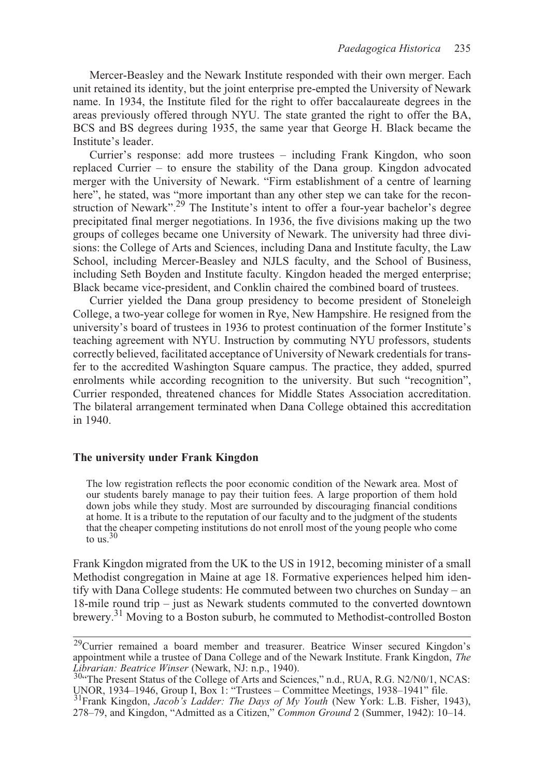Mercer-Beasley and the Newark Institute responded with their own merger. Each unit retained its identity, but the joint enterprise pre-empted the University of Newark name. In 1934, the Institute filed for the right to offer baccalaureate degrees in the areas previously offered through NYU. The state granted the right to offer the BA, BCS and BS degrees during 1935, the same year that George H. Black became the Institute's leader.

Currier's response: add more trustees – including Frank Kingdon, who soon replaced Currier – to ensure the stability of the Dana group. Kingdon advocated merger with the University of Newark. "Firm establishment of a centre of learning here", he stated, was "more important than any other step we can take for the reconstruction of Newark".29 The Institute's intent to offer a four-year bachelor's degree precipitated final merger negotiations. In 1936, the five divisions making up the two groups of colleges became one University of Newark. The university had three divisions: the College of Arts and Sciences, including Dana and Institute faculty, the Law School, including Mercer-Beasley and NJLS faculty, and the School of Business, including Seth Boyden and Institute faculty. Kingdon headed the merged enterprise; Black became vice-president, and Conklin chaired the combined board of trustees.

Currier yielded the Dana group presidency to become president of Stoneleigh College, a two-year college for women in Rye, New Hampshire. He resigned from the university's board of trustees in 1936 to protest continuation of the former Institute's teaching agreement with NYU. Instruction by commuting NYU professors, students correctly believed, facilitated acceptance of University of Newark credentials for transfer to the accredited Washington Square campus. The practice, they added, spurred enrolments while according recognition to the university. But such "recognition", Currier responded, threatened chances for Middle States Association accreditation. The bilateral arrangement terminated when Dana College obtained this accreditation in 1940.

#### **The university under Frank Kingdon**

The low registration reflects the poor economic condition of the Newark area. Most of our students barely manage to pay their tuition fees. A large proportion of them hold down jobs while they study. Most are surrounded by discouraging financial conditions at home. It is a tribute to the reputation of our faculty and to the judgment of the students that the cheaper competing institutions do not enroll most of the young people who come to us. $3$ 

Frank Kingdon migrated from the UK to the US in 1912, becoming minister of a small Methodist congregation in Maine at age 18. Formative experiences helped him identify with Dana College students: He commuted between two churches on Sunday – an 18-mile round trip – just as Newark students commuted to the converted downtown brewery.31 Moving to a Boston suburb, he commuted to Methodist-controlled Boston

<sup>&</sup>lt;sup>29</sup>Currier remained a board member and treasurer. Beatrice Winser secured Kingdon's appointment while a trustee of Dana College and of the Newark Institute. Frank Kingdon, *The Librarian: Beatrice Winser* (Newark, NJ: n.p., 1940).<br><sup>30</sup>"The Present Status of the College of Arts and Sciences," n.d., RUA, R.G. N2/N0/1, NCAS:

UNOR, 1934–1946, Group I, Box 1: "Trustees – Committee Meetings, 1938–1941" file. 31Frank Kingdon, *Jacob's Ladder: The Days of My Youth* (New York: L.B. Fisher, 1943),

<sup>278–79,</sup> and Kingdon, "Admitted as a Citizen," *Common Ground* 2 (Summer, 1942): 10–14.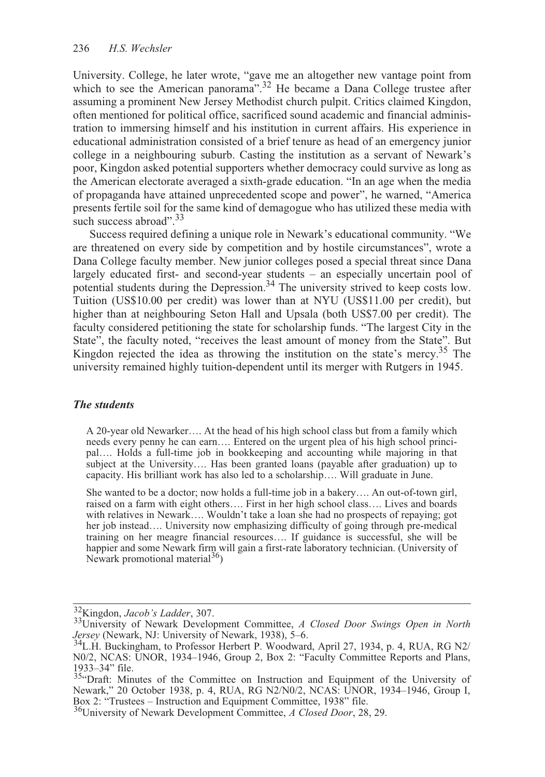University. College, he later wrote, "gave me an altogether new vantage point from which to see the American panorama".<sup>32</sup> He became a Dana College trustee after assuming a prominent New Jersey Methodist church pulpit. Critics claimed Kingdon, often mentioned for political office, sacrificed sound academic and financial administration to immersing himself and his institution in current affairs. His experience in educational administration consisted of a brief tenure as head of an emergency junior college in a neighbouring suburb. Casting the institution as a servant of Newark's poor, Kingdon asked potential supporters whether democracy could survive as long as the American electorate averaged a sixth-grade education. "In an age when the media of propaganda have attained unprecedented scope and power", he warned, "America presents fertile soil for the same kind of demagogue who has utilized these media with such success abroad".<sup>33</sup>

Success required defining a unique role in Newark's educational community. "We are threatened on every side by competition and by hostile circumstances", wrote a Dana College faculty member. New junior colleges posed a special threat since Dana largely educated first- and second-year students – an especially uncertain pool of potential students during the Depression.<sup>34</sup> The university strived to keep costs low. Tuition (US\$10.00 per credit) was lower than at NYU (US\$11.00 per credit), but higher than at neighbouring Seton Hall and Upsala (both US\$7.00 per credit). The faculty considered petitioning the state for scholarship funds. "The largest City in the State", the faculty noted, "receives the least amount of money from the State". But Kingdon rejected the idea as throwing the institution on the state's mercy.<sup>35</sup> The university remained highly tuition-dependent until its merger with Rutgers in 1945.

#### *The students*

A 20-year old Newarker…. At the head of his high school class but from a family which needs every penny he can earn…. Entered on the urgent plea of his high school principal…. Holds a full-time job in bookkeeping and accounting while majoring in that subject at the University…. Has been granted loans (payable after graduation) up to capacity. His brilliant work has also led to a scholarship…. Will graduate in June.

She wanted to be a doctor; now holds a full-time job in a bakery…. An out-of-town girl, raised on a farm with eight others…. First in her high school class…. Lives and boards with relatives in Newark.... Wouldn't take a loan she had no prospects of repaying; got her job instead…. University now emphasizing difficulty of going through pre-medical training on her meagre financial resources…. If guidance is successful, she will be happier and some Newark firm will gain a first-rate laboratory technician. (University of Newark promotional material<sup>36</sup>)

<sup>32</sup>Kingdon, *Jacob's Ladder*, 307. 33University of Newark Development Committee, *A Closed Door Swings Open in North Jersey* (Newark, NJ: University of Newark, 1938), 5–6.<br><sup>34</sup>L.H. Buckingham, to Professor Herbert P. Woodward, April 27, 1934, p. 4, RUA, RG N2/

N0/2, NCAS: UNOR, 1934–1946, Group 2, Box 2: "Faculty Committee Reports and Plans,

<sup>1933–34&</sup>quot; file.<br><sup>35</sup>"Draft: Minutes of the Committee on Instruction and Equipment of the University of Newark," 20 October 1938, p. 4, RUA, RG N2/N0/2, NCAS: UNOR, 1934–1946, Group I, Box 2: "Trustees – Instruction and Equipment Committee, 1938" file.

<sup>36</sup>University of Newark Development Committee, *A Closed Door*, 28, 29.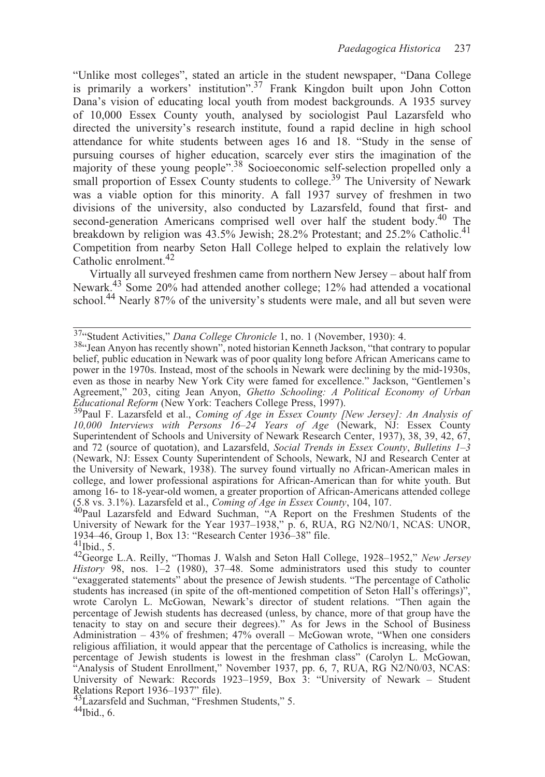"Unlike most colleges", stated an article in the student newspaper, "Dana College is primarily a workers' institution".<sup>37</sup> Frank Kingdon built upon John Cotton Dana's vision of educating local youth from modest backgrounds. A 1935 survey of 10,000 Essex County youth, analysed by sociologist Paul Lazarsfeld who directed the university's research institute, found a rapid decline in high school attendance for white students between ages 16 and 18. "Study in the sense of pursuing courses of higher education, scarcely ever stirs the imagination of the majority of these young people".<sup>38</sup> Socioeconomic self-selection propelled only a small proportion of Essex County students to college.<sup>39</sup> The University of Newark was a viable option for this minority. A fall 1937 survey of freshmen in two divisions of the university, also conducted by Lazarsfeld, found that first- and second-generation Americans comprised well over half the student body.<sup>40</sup> The breakdown by religion was 43.5% Jewish; 28.2% Protestant; and 25.2% Catholic.<sup>41</sup> Competition from nearby Seton Hall College helped to explain the relatively low Catholic enrolment.<sup>42</sup>

Virtually all surveyed freshmen came from northern New Jersey – about half from Newark.43 Some 20% had attended another college; 12% had attended a vocational school.<sup>44</sup> Nearly 87% of the university's students were male, and all but seven were

 $^{43}$ Lazarsfeld and Suchman, "Freshmen Students," 5.  $^{44}$ Ibid., 6.

<sup>&</sup>lt;sup>37</sup>"Student Activities," *Dana College Chronicle* 1, no. 1 (November, 1930): 4.<br><sup>38</sup>"Jean Anyon has recently shown", noted historian Kenneth Jackson, "that contrary to popular belief, public education in Newark was of poor quality long before African Americans came to power in the 1970s. Instead, most of the schools in Newark were declining by the mid-1930s, even as those in nearby New York City were famed for excellence." Jackson, "Gentlemen's Agreement," 203, citing Jean Anyon, *Ghetto Schooling: A Political Economy of Urban*

<sup>&</sup>lt;sup>39</sup>Paul F. Lazarsfeld et al., *Coming of Age in Essex County [New Jersey]: An Analysis of 10,000 Interviews with Persons 16–24 Years of Age* (Newark, NJ: Essex County Superintendent of Schools and University of Newark Research Center, 1937), 38, 39, 42, 67, and 72 (source of quotation), and Lazarsfeld, *Social Trends in Essex County*, *Bulletins 1–3* (Newark, NJ: Essex County Superintendent of Schools, Newark, NJ and Research Center at the University of Newark, 1938). The survey found virtually no African-American males in college, and lower professional aspirations for African-American than for white youth. But among 16- to 18-year-old women, a greater proportion of African-Americans attended college (5.8 vs. 3.1%). Lazarsfeld et al., *Coming of Age in Essex County*, 104, 107. 40Paul Lazarsfeld and Edward Suchman, "A Report on the Freshmen Students of the

University of Newark for the Year 1937–1938," p. 6, RUA, RG N2/N0/1, NCAS: UNOR, 1934–46, Group 1, Box 13: "Research Center 1936–38" file.

<sup>41</sup>Ibid., 5. 42George L.A. Reilly, "Thomas J. Walsh and Seton Hall College, 1928–1952," *New Jersey History* 98, nos. 1–2 (1980), 37–48. Some administrators used this study to counter "exaggerated statements" about the presence of Jewish students. "The percentage of Catholic students has increased (in spite of the oft-mentioned competition of Seton Hall's offerings)", wrote Carolyn L. McGowan, Newark's director of student relations. "Then again the percentage of Jewish students has decreased (unless, by chance, more of that group have the tenacity to stay on and secure their degrees)." As for Jews in the School of Business Administration – 43% of freshmen; 47% overall – McGowan wrote, "When one considers religious affiliation, it would appear that the percentage of Catholics is increasing, while the percentage of Jewish students is lowest in the freshman class" (Carolyn L. McGowan, "Analysis of Student Enrollment," November 1937, pp. 6, 7, RUA, RG N2/N0/03, NCAS: University of Newark: Records 1923–1959, Box 3: "University of Newark – Student Relations Report 1936–1937" file).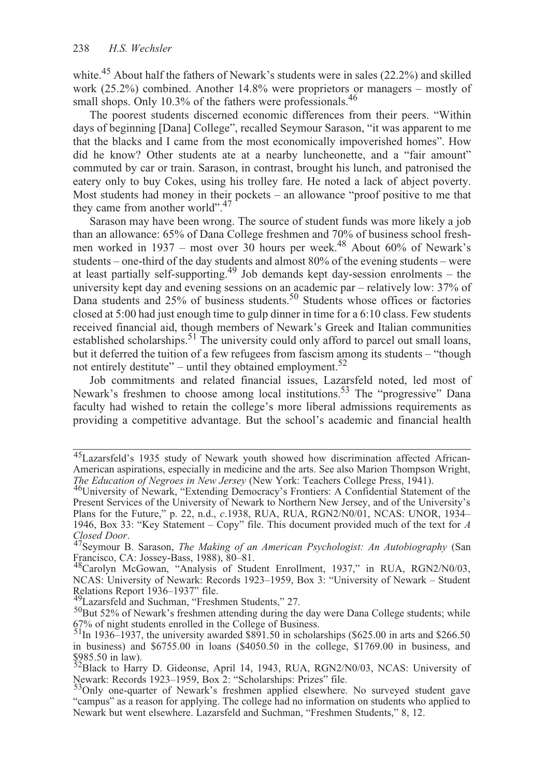white.45 About half the fathers of Newark's students were in sales (22.2%) and skilled work (25.2%) combined. Another 14.8% were proprietors or managers – mostly of small shops. Only 10.3% of the fathers were professionals.<sup>46</sup>

The poorest students discerned economic differences from their peers. "Within days of beginning [Dana] College", recalled Seymour Sarason, "it was apparent to me that the blacks and I came from the most economically impoverished homes". How did he know? Other students ate at a nearby luncheonette, and a "fair amount" commuted by car or train. Sarason, in contrast, brought his lunch, and patronised the eatery only to buy Cokes, using his trolley fare. He noted a lack of abject poverty. Most students had money in their pockets – an allowance "proof positive to me that they came from another world".<sup>47</sup>

Sarason may have been wrong. The source of student funds was more likely a job than an allowance: 65% of Dana College freshmen and 70% of business school freshmen worked in 1937 – most over 30 hours per week.<sup>48</sup> About 60% of Newark's students – one-third of the day students and almost 80% of the evening students – were at least partially self-supporting.<sup>49</sup> Job demands kept day-session enrolments – the university kept day and evening sessions on an academic par – relatively low: 37% of Dana students and 25% of business students.<sup>50</sup> Students whose offices or factories closed at 5:00 had just enough time to gulp dinner in time for a 6:10 class. Few students received financial aid, though members of Newark's Greek and Italian communities established scholarships.<sup>51</sup> The university could only afford to parcel out small loans, but it deferred the tuition of a few refugees from fascism among its students – "though not entirely destitute" – until they obtained employment.<sup>52</sup>

Job commitments and related financial issues, Lazarsfeld noted, led most of Newark's freshmen to choose among local institutions.<sup>53</sup> The "progressive" Dana faculty had wished to retain the college's more liberal admissions requirements as providing a competitive advantage. But the school's academic and financial health

<sup>45</sup>Lazarsfeld's 1935 study of Newark youth showed how discrimination affected African-American aspirations, especially in medicine and the arts. See also Marion Thompson Wright, *The Education of Negroes in New Jersey* (New York: Teachers College Press, 1941).<br><sup>46</sup>University of Newark, "Extending Democracy's Frontiers: A Confidential Statement of the

Present Services of the University of Newark to Northern New Jersey, and of the University's Plans for the Future," p. 22, n.d., *c*.1938, RUA, RUA, RGN2/N0/01, NCAS: UNOR, 1934– 1946, Box 33: "Key Statement – Copy" file. This document provided much of the text for *A*

*Closed Door*. 47Seymour B. Sarason, *The Making of an American Psychologist: An Autobiography* (San Francisco, CA: Jossey-Bass, 1988), 80–81.

<sup>&</sup>lt;sup>48</sup>Carolyn McGowan, "Analysis of Student Enrollment, 1937," in RUA, RGN2/N0/03, NCAS: University of Newark: Records 1923–1959, Box 3: "University of Newark – Student Relations Report 1936–1937" file.<br><sup>49</sup>Lazarsfeld and Suchman, "Freshmen Students," 27.

 $50$ But 52% of Newark's freshmen attending during the day were Dana College students; while

 $67%$  of night students enrolled in the College of Business.<br><sup>51</sup>In 1936–1937, the university awarded \$891.50 in scholarships (\$625.00 in arts and \$266.50 in business) and \$6755.00 in loans (\$4050.50 in the college, \$1769.00 in business, and

<sup>\$985.50</sup> in law). 52Black to Harry D. Gideonse, April 14, 1943, RUA, RGN2/N0/03, NCAS: University of Newark: Records 1923–1959, Box 2: "Scholarships: Prizes" file. Sales Condition Conditions, 1983, 1993, 1993, 1994, 1995, 1995, 1995, 1995, 1995, 1995, 1995, 1996, 1997, 199<br>Sales Sales Sales Sales Sales Sales Sales Sales Sales Sales Sales Sales Sales Sales Sales Sales Sales Sales Sale

<sup>&</sup>quot;campus" as a reason for applying. The college had no information on students who applied to Newark but went elsewhere. Lazarsfeld and Suchman, "Freshmen Students," 8, 12.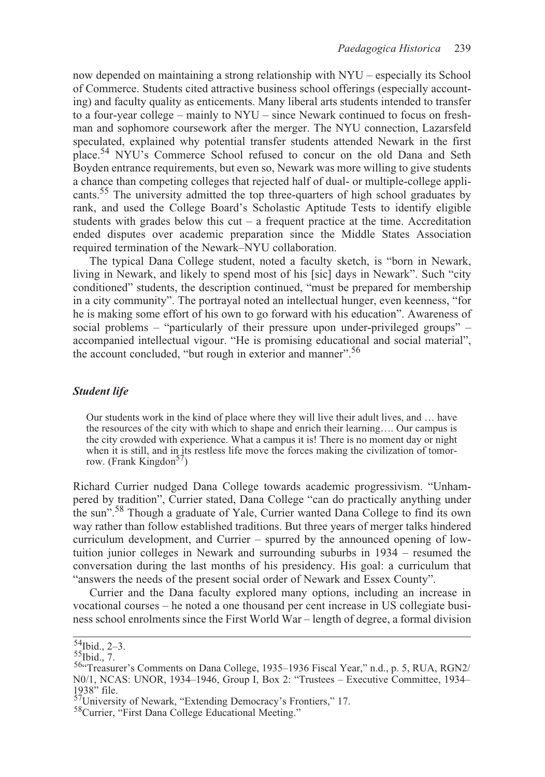now depended on maintaining a strong relationship with NYU – especially its School of Commerce. Students cited attractive business school offerings (especially accounting) and faculty quality as enticements. Many liberal arts students intended to transfer to a four-year college – mainly to NYU – since Newark continued to focus on freshman and sophomore coursework after the merger. The NYU connection, Lazarsfeld speculated, explained why potential transfer students attended Newark in the first place.54 NYU's Commerce School refused to concur on the old Dana and Seth Boyden entrance requirements, but even so, Newark was more willing to give students a chance than competing colleges that rejected half of dual- or multiple-college applicants.55 The university admitted the top three-quarters of high school graduates by rank, and used the College Board's Scholastic Aptitude Tests to identify eligible students with grades below this  $cut - a$  frequent practice at the time. Accreditation ended disputes over academic preparation since the Middle States Association required termination of the Newark–NYU collaboration.

The typical Dana College student, noted a faculty sketch, is "born in Newark, living in Newark, and likely to spend most of his [sic] days in Newark". Such "city conditioned" students, the description continued, "must be prepared for membership in a city community". The portrayal noted an intellectual hunger, even keenness, "for he is making some effort of his own to go forward with his education". Awareness of social problems – "particularly of their pressure upon under-privileged groups" – accompanied intellectual vigour. "He is promising educational and social material", the account concluded, "but rough in exterior and manner".<sup>56</sup>

#### *Student life*

Our students work in the kind of place where they will live their adult lives, and … have the resources of the city with which to shape and enrich their learning…. Our campus is the city crowded with experience. What a campus it is! There is no moment day or night when it is still, and in its restless life move the forces making the civilization of tomorrow. (Frank Kingdon<sup>57</sup>)

Richard Currier nudged Dana College towards academic progressivism. "Unhampered by tradition", Currier stated, Dana College "can do practically anything under the sun".58 Though a graduate of Yale, Currier wanted Dana College to find its own way rather than follow established traditions. But three years of merger talks hindered curriculum development, and Currier – spurred by the announced opening of lowtuition junior colleges in Newark and surrounding suburbs in 1934 – resumed the conversation during the last months of his presidency. His goal: a curriculum that "answers the needs of the present social order of Newark and Essex County".

Currier and the Dana faculty explored many options, including an increase in vocational courses – he noted a one thousand per cent increase in US collegiate business school enrolments since the First World War – length of degree, a formal division

 $54$ Ibid., 2–3.<br> $55$ Ibid., 7.<br> $56$ <sup>4</sup>Treasurer's Comments on Dana College, 1935–1936 Fiscal Year," n.d., p. 5, RUA, RGN2/ N0/1, NCAS: UNOR, 1934–1946, Group I, Box 2: "Trustees – Executive Committee, 1934– 1938" file.<br><sup>57</sup>University of Newark, "Extending Democracy's Frontiers," 17.<br><sup>58</sup>Currier, "First Dana College Educational Meeting."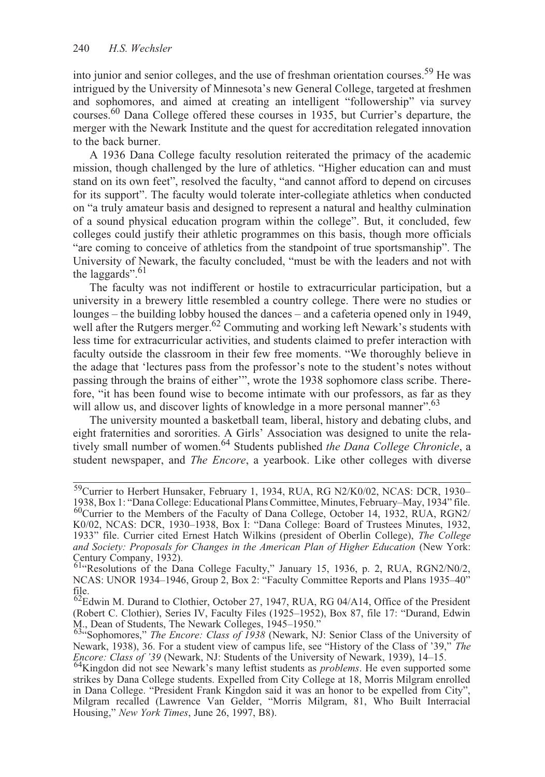into junior and senior colleges, and the use of freshman orientation courses.59 He was intrigued by the University of Minnesota's new General College, targeted at freshmen and sophomores, and aimed at creating an intelligent "followership" via survey courses.60 Dana College offered these courses in 1935, but Currier's departure, the merger with the Newark Institute and the quest for accreditation relegated innovation to the back burner.

A 1936 Dana College faculty resolution reiterated the primacy of the academic mission, though challenged by the lure of athletics. "Higher education can and must stand on its own feet", resolved the faculty, "and cannot afford to depend on circuses for its support". The faculty would tolerate inter-collegiate athletics when conducted on "a truly amateur basis and designed to represent a natural and healthy culmination of a sound physical education program within the college". But, it concluded, few colleges could justify their athletic programmes on this basis, though more officials "are coming to conceive of athletics from the standpoint of true sportsmanship". The University of Newark, the faculty concluded, "must be with the leaders and not with the laggards".  $61$ 

The faculty was not indifferent or hostile to extracurricular participation, but a university in a brewery little resembled a country college. There were no studies or lounges – the building lobby housed the dances – and a cafeteria opened only in 1949, well after the Rutgers merger.<sup>62</sup> Commuting and working left Newark's students with less time for extracurricular activities, and students claimed to prefer interaction with faculty outside the classroom in their few free moments. "We thoroughly believe in the adage that 'lectures pass from the professor's note to the student's notes without passing through the brains of either'", wrote the 1938 sophomore class scribe. Therefore, "it has been found wise to become intimate with our professors, as far as they will allow us, and discover lights of knowledge in a more personal manner".<sup>63</sup>

The university mounted a basketball team, liberal, history and debating clubs, and eight fraternities and sororities. A Girls' Association was designed to unite the relatively small number of women.<sup>64</sup> Students published *the Dana College Chronicle*, a student newspaper, and *The Encore*, a yearbook. Like other colleges with diverse

<sup>&</sup>lt;sup>59</sup>Currier to Herbert Hunsaker, February 1, 1934, RUA, RG N2/K0/02, NCAS: DCR, 1930– 1938, Box 1: "Dana College: Educational Plans Committee, Minutes, February–May, 1934" file.<br><sup>60</sup>Currier to the Members of the Faculty of Dana College, October 14, 1932, RUA, RGN2/ K0/02, NCAS: DCR, 1930–1938, Box I: "Dana College: Board of Trustees Minutes, 1932, 1933" file. Currier cited Ernest Hatch Wilkins (president of Oberlin College), *The College and Society: Proposals for Changes in the American Plan of Higher Education* (New York: Century Company, 1932).

<sup>&</sup>lt;sup>61</sup>"Resolutions of the Dana College Faculty," January 15, 1936, p. 2, RUA, RGN2/N0/2, NCAS: UNOR 1934–1946, Group 2, Box 2: "Faculty Committee Reports and Plans 1935–40" file.

 $62$ Edwin M. Durand to Clothier, October 27, 1947, RUA, RG 04/A14, Office of the President (Robert C. Clothier), Series IV, Faculty Files (1925–1952), Box 87, file 17: "Durand, Edwin M., Dean of Students, The Newark Colleges, 1945–1950."

<sup>63&</sup>quot;Sophomores," *The Encore: Class of 1938* (Newark, NJ: Senior Class of the University of Newark, 1938), 36. For a student view of campus life, see "History of the Class of '39," *The*

<sup>&</sup>lt;sup>64</sup>Kingdon did not see Newark's many leftist students as *problems*. He even supported some strikes by Dana College students. Expelled from City College at 18, Morris Milgram enrolled in Dana College. "President Frank Kingdon said it was an honor to be expelled from City", Milgram recalled (Lawrence Van Gelder, "Morris Milgram, 81, Who Built Interracial Housing," *New York Times*, June 26, 1997, B8).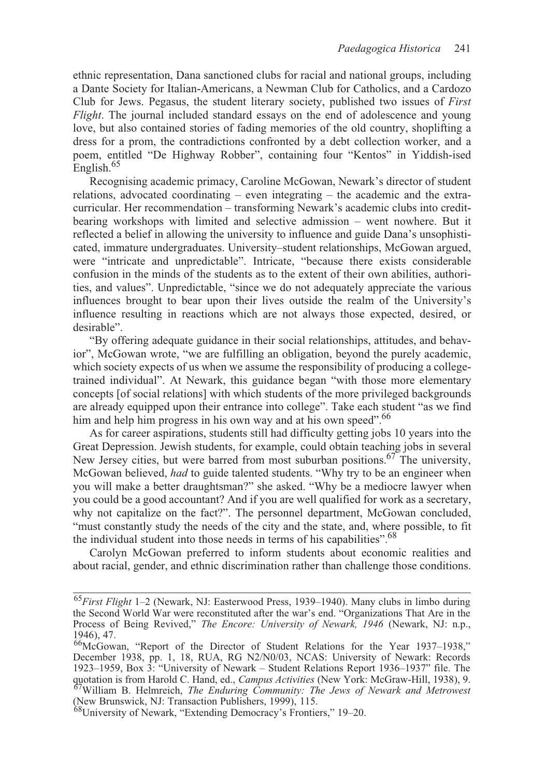ethnic representation, Dana sanctioned clubs for racial and national groups, including a Dante Society for Italian-Americans, a Newman Club for Catholics, and a Cardozo Club for Jews. Pegasus, the student literary society, published two issues of *First Flight*. The journal included standard essays on the end of adolescence and young love, but also contained stories of fading memories of the old country, shoplifting a dress for a prom, the contradictions confronted by a debt collection worker, and a poem, entitled "De Highway Robber", containing four "Kentos" in Yiddish-ised English.<sup>65</sup>

Recognising academic primacy, Caroline McGowan, Newark's director of student relations, advocated coordinating – even integrating – the academic and the extracurricular. Her recommendation – transforming Newark's academic clubs into creditbearing workshops with limited and selective admission – went nowhere. But it reflected a belief in allowing the university to influence and guide Dana's unsophisticated, immature undergraduates. University–student relationships, McGowan argued, were "intricate and unpredictable". Intricate, "because there exists considerable confusion in the minds of the students as to the extent of their own abilities, authorities, and values". Unpredictable, "since we do not adequately appreciate the various influences brought to bear upon their lives outside the realm of the University's influence resulting in reactions which are not always those expected, desired, or desirable".

"By offering adequate guidance in their social relationships, attitudes, and behavior", McGowan wrote, "we are fulfilling an obligation, beyond the purely academic, which society expects of us when we assume the responsibility of producing a collegetrained individual". At Newark, this guidance began "with those more elementary concepts [of social relations] with which students of the more privileged backgrounds are already equipped upon their entrance into college". Take each student "as we find him and help him progress in his own way and at his own speed".<sup>66</sup>

As for career aspirations, students still had difficulty getting jobs 10 years into the Great Depression. Jewish students, for example, could obtain teaching jobs in several New Jersey cities, but were barred from most suburban positions.<sup>67</sup> The university, McGowan believed, *had* to guide talented students. "Why try to be an engineer when you will make a better draughtsman?" she asked. "Why be a mediocre lawyer when you could be a good accountant? And if you are well qualified for work as a secretary, why not capitalize on the fact?". The personnel department, McGowan concluded, "must constantly study the needs of the city and the state, and, where possible, to fit the individual student into those needs in terms of his capabilities".<sup>68</sup>

Carolyn McGowan preferred to inform students about economic realities and about racial, gender, and ethnic discrimination rather than challenge those conditions.

<sup>65</sup>*First Flight* 1–2 (Newark, NJ: Easterwood Press, 1939–1940). Many clubs in limbo during the Second World War were reconstituted after the war's end. "Organizations That Are in the Process of Being Revived," *The Encore: University of Newark, 1946* (Newark, NJ: n.p., 1946), 47.

 $^{66}$ McGowan, "Report of the Director of Student Relations for the Year 1937–1938," December 1938, pp. 1, 18, RUA, RG N2/N0/03, NCAS: University of Newark: Records 1923–1959, Box  $\hat{3}$ : "University of Newark – Student Relations Report 1936–1937" file. The quotation is from Harold C. Hand, ed., *Campus Activities* (New York: McGraw-Hill, 1938), 9. <sup>67</sup>William B. Helmreich, *The Enduring Community: The Jews of Newark and Metrowest* 

<sup>(</sup>New Brunswick, NJ: Transaction Publishers, 1999), 115.<br><sup>68</sup>University of Newark, "Extending Democracy's Frontiers," 19–20.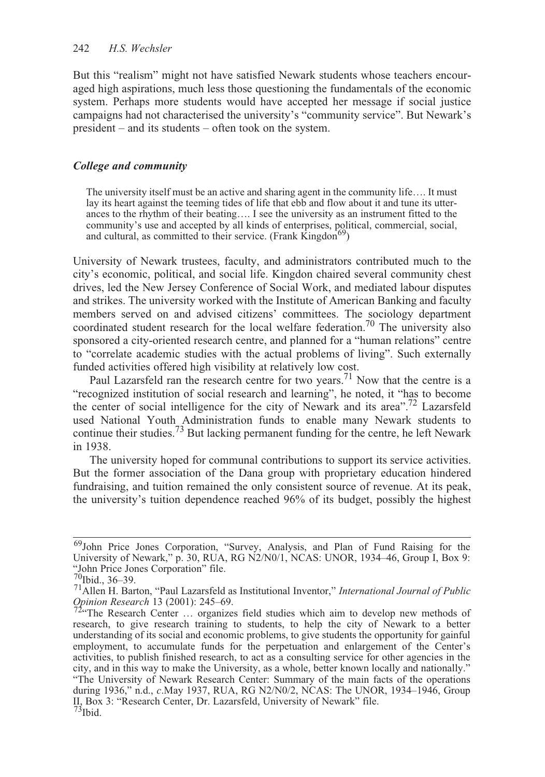But this "realism" might not have satisfied Newark students whose teachers encouraged high aspirations, much less those questioning the fundamentals of the economic system. Perhaps more students would have accepted her message if social justice campaigns had not characterised the university's "community service". But Newark's president – and its students – often took on the system.

#### *College and community*

The university itself must be an active and sharing agent in the community life…. It must lay its heart against the teeming tides of life that ebb and flow about it and tune its utterances to the rhythm of their beating…. I see the university as an instrument fitted to the community's use and accepted by all kinds of enterprises, political, commercial, social, and cultural, as committed to their service. (Frank  $\hat{$ ingdon<sup>69</sup>)

University of Newark trustees, faculty, and administrators contributed much to the city's economic, political, and social life. Kingdon chaired several community chest drives, led the New Jersey Conference of Social Work, and mediated labour disputes and strikes. The university worked with the Institute of American Banking and faculty members served on and advised citizens' committees. The sociology department coordinated student research for the local welfare federation.<sup>70</sup> The university also sponsored a city-oriented research centre, and planned for a "human relations" centre to "correlate academic studies with the actual problems of living". Such externally funded activities offered high visibility at relatively low cost.

Paul Lazarsfeld ran the research centre for two years.<sup>71</sup> Now that the centre is a "recognized institution of social research and learning", he noted, it "has to become the center of social intelligence for the city of Newark and its area".72 Lazarsfeld used National Youth Administration funds to enable many Newark students to continue their studies.73 But lacking permanent funding for the centre, he left Newark in 1938.

The university hoped for communal contributions to support its service activities. But the former association of the Dana group with proprietary education hindered fundraising, and tuition remained the only consistent source of revenue. At its peak, the university's tuition dependence reached 96% of its budget, possibly the highest

<sup>69</sup>John Price Jones Corporation, "Survey, Analysis, and Plan of Fund Raising for the University of Newark," p. 30, RUA, RG N2/N0/1, NCAS: UNOR, 1934–46, Group I, Box 9: "John Price Jones Corporation" file.<br>"Olbid., 36–39.

<sup>&</sup>lt;sup>71</sup> Allen H. Barton, "Paul Lazarsfeld as Institutional Inventor," *International Journal of Public Opinion Research* 13 (2001): 245–69.<br>
<sup>72</sup> The Research Center … organizes field studies which aim to develop new methods of

research, to give research training to students, to help the city of Newark to a better understanding of its social and economic problems, to give students the opportunity for gainful employment, to accumulate funds for the perpetuation and enlargement of the Center's activities, to publish finished research, to act as a consulting service for other agencies in the city, and in this way to make the University, as a whole, better known locally and nationally." "The University of Newark Research Center: Summary of the main facts of the operations during 1936," n.d., *c*.May 1937, RUA, RG N2/N0/2, NCAS: The UNOR, 1934–1946, Group II, Box 3: "Research Center, Dr. Lazarsfeld, University of Newark" file. 73Ibid.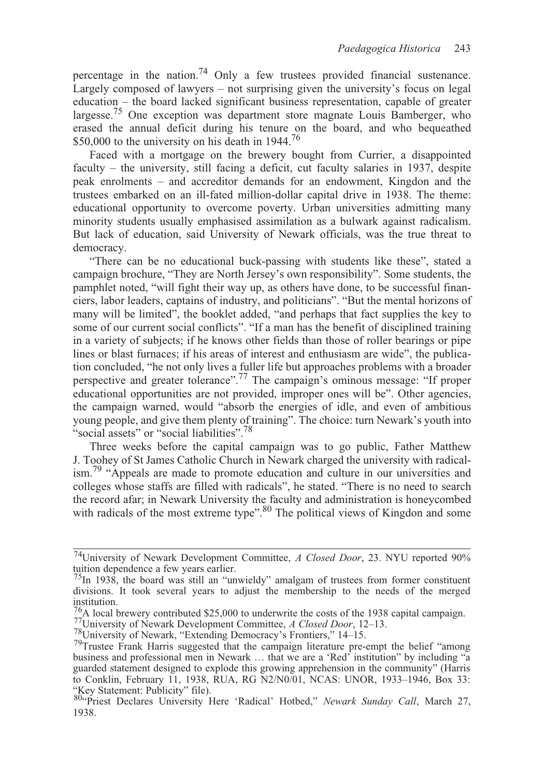percentage in the nation.74 Only a few trustees provided financial sustenance. Largely composed of lawyers – not surprising given the university's focus on legal education – the board lacked significant business representation, capable of greater largesse.75 One exception was department store magnate Louis Bamberger, who erased the annual deficit during his tenure on the board, and who bequeathed \$50,000 to the university on his death in  $1944^{76}$ 

Faced with a mortgage on the brewery bought from Currier, a disappointed faculty – the university, still facing a deficit, cut faculty salaries in 1937, despite peak enrolments – and accreditor demands for an endowment, Kingdon and the trustees embarked on an ill-fated million-dollar capital drive in 1938. The theme: educational opportunity to overcome poverty. Urban universities admitting many minority students usually emphasised assimilation as a bulwark against radicalism. But lack of education, said University of Newark officials, was the true threat to democracy.

"There can be no educational buck-passing with students like these", stated a campaign brochure, "They are North Jersey's own responsibility". Some students, the pamphlet noted, "will fight their way up, as others have done, to be successful financiers, labor leaders, captains of industry, and politicians". "But the mental horizons of many will be limited", the booklet added, "and perhaps that fact supplies the key to some of our current social conflicts". "If a man has the benefit of disciplined training in a variety of subjects; if he knows other fields than those of roller bearings or pipe lines or blast furnaces; if his areas of interest and enthusiasm are wide", the publication concluded, "he not only lives a fuller life but approaches problems with a broader perspective and greater tolerance".<sup>77</sup> The campaign's ominous message: "If proper educational opportunities are not provided, improper ones will be". Other agencies, the campaign warned, would "absorb the energies of idle, and even of ambitious young people, and give them plenty of training". The choice: turn Newark's youth into "social assets" or "social liabilities".<sup>78</sup>

Three weeks before the capital campaign was to go public, Father Matthew J. Toohey of St James Catholic Church in Newark charged the university with radicalism.<sup>79</sup> "Appeals are made to promote education and culture in our universities and colleges whose staffs are filled with radicals", he stated. "There is no need to search the record afar; in Newark University the faculty and administration is honeycombed with radicals of the most extreme type".<sup>80</sup> The political views of Kingdon and some

<sup>74</sup>University of Newark Development Committee, *A Closed Door*, 23. NYU reported 90% tuition dependence a few years earlier.

 $^{75}$ In 1938, the board was still an "unwieldy" amalgam of trustees from former constituent divisions. It took several years to adjust the membership to the needs of the merged institution.<br> $^{76}$ A local brewery contributed \$25,000 to underwrite the costs of the 1938 capital campaign.

<sup>&</sup>lt;sup>77</sup>University of Newark Development Committee, *A Closed Door*, 12–13.<br><sup>78</sup>University of Newark, "Extending Democracy's Frontiers," 14–15.<br><sup>79</sup>Trustee Frank Harris suggested that the campaign literature pre-empt the beli business and professional men in Newark … that we are a 'Red' institution" by including "a guarded statement designed to explode this growing apprehension in the community" (Harris to Conklin, February 11, 1938, RUA, RG N2/N0/01, NCAS: UNOR, 1933–1946, Box 33: "Key Statement: Publicity" file).

<sup>80&</sup>quot;Priest Declares University Here 'Radical' Hotbed," *Newark Sunday Call*, March 27, 1938.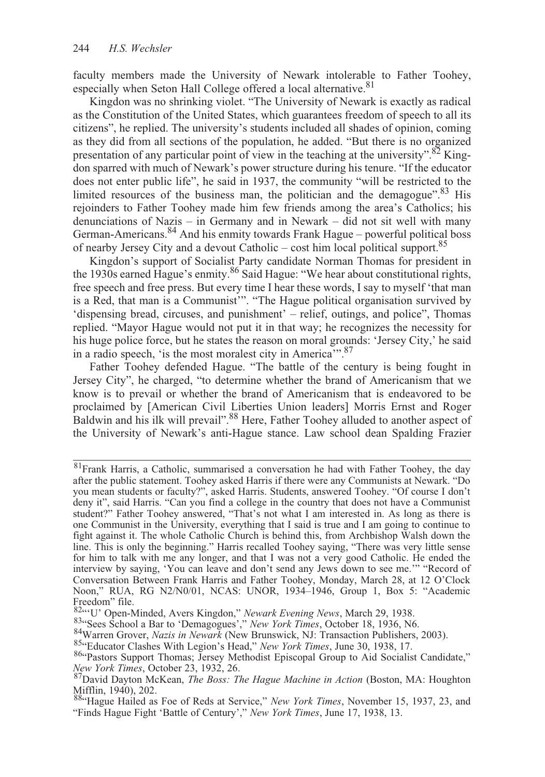faculty members made the University of Newark intolerable to Father Toohey, especially when Seton Hall College offered a local alternative.<sup>81</sup>

Kingdon was no shrinking violet. "The University of Newark is exactly as radical as the Constitution of the United States, which guarantees freedom of speech to all its citizens", he replied. The university's students included all shades of opinion, coming as they did from all sections of the population, he added. "But there is no organized presentation of any particular point of view in the teaching at the university".  $82$  Kingdon sparred with much of Newark's power structure during his tenure. "If the educator does not enter public life", he said in 1937, the community "will be restricted to the limited resources of the business man, the politician and the demagogue".<sup>83</sup> His rejoinders to Father Toohey made him few friends among the area's Catholics; his denunciations of Nazis – in Germany and in Newark – did not sit well with many German-Americans.84 And his enmity towards Frank Hague – powerful political boss of nearby Jersey City and a devout Catholic – cost him local political support.85

Kingdon's support of Socialist Party candidate Norman Thomas for president in the 1930s earned Hague's enmity.86 Said Hague: "We hear about constitutional rights, free speech and free press. But every time I hear these words, I say to myself 'that man is a Red, that man is a Communist'". "The Hague political organisation survived by 'dispensing bread, circuses, and punishment' – relief, outings, and police", Thomas replied. "Mayor Hague would not put it in that way; he recognizes the necessity for his huge police force, but he states the reason on moral grounds: 'Jersey City,' he said in a radio speech, 'is the most moralest city in America'".<sup>87</sup>

Father Toohey defended Hague. "The battle of the century is being fought in Jersey City", he charged, "to determine whether the brand of Americanism that we know is to prevail or whether the brand of Americanism that is endeavored to be proclaimed by [American Civil Liberties Union leaders] Morris Ernst and Roger Baldwin and his ilk will prevail".<sup>88</sup> Here, Father Toohey alluded to another aspect of the University of Newark's anti-Hague stance. Law school dean Spalding Frazier

- <sup>83</sup>"Sees School a Bar to 'Demagogues'," *New York Times*, October 18, 1936, N6.<br><sup>84</sup>Warren Grover, *Nazis in Newark* (New Brunswick, NJ: Transaction Publishers, 2003).<br><sup>85</sup>"Educator Clashes With Legion's Head," *New York*
- 

<sup>81</sup>Frank Harris, a Catholic, summarised a conversation he had with Father Toohey, the day after the public statement. Toohey asked Harris if there were any Communists at Newark. "Do you mean students or faculty?", asked Harris. Students, answered Toohey. "Of course I don't deny it", said Harris. "Can you find a college in the country that does not have a Communist student?" Father Toohey answered, "That's not what I am interested in. As long as there is one Communist in the University, everything that I said is true and I am going to continue to fight against it. The whole Catholic Church is behind this, from Archbishop Walsh down the line. This is only the beginning." Harris recalled Toohey saying, "There was very little sense for him to talk with me any longer, and that I was not a very good Catholic. He ended the interview by saying, 'You can leave and don't send any Jews down to see me.'" "Record of Conversation Between Frank Harris and Father Toohey, Monday, March 28, at 12 O'Clock Noon," RUA, RG N2/N0/01, NCAS: UNOR, 1934–1946, Group 1, Box 5: "Academic Freedom" file.<br><sup>82</sup>"U' Open-Minded, Avers Kingdon," Newark Evening News, March 29, 1938.

*New York Times*, October 23, 1932, 26. **87**<br><sup>87</sup>David Dayton McKean, *The Boss: The Hague Machine in Action* (Boston, MA: Houghton

Mifflin, 1940), 202.

<sup>88&</sup>quot;Hague Hailed as Foe of Reds at Service," *New York Times*, November 15, 1937, 23, and "Finds Hague Fight 'Battle of Century'," *New York Times*, June 17, 1938, 13.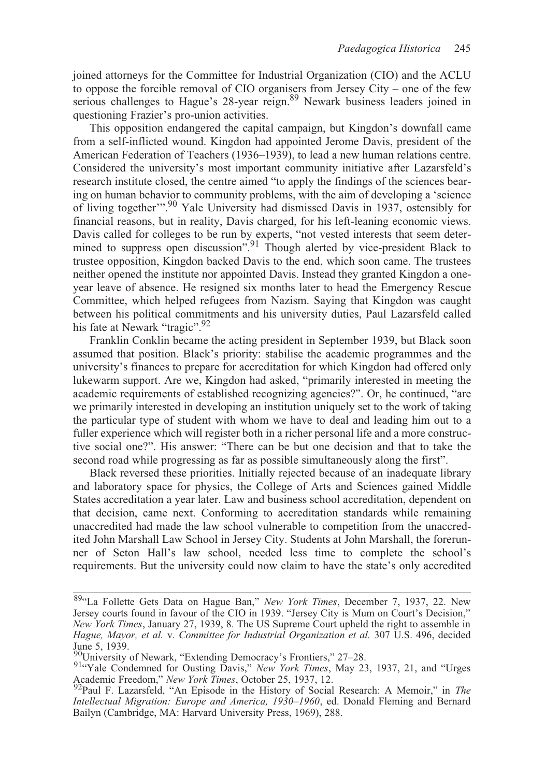joined attorneys for the Committee for Industrial Organization (CIO) and the ACLU to oppose the forcible removal of CIO organisers from Jersey City – one of the few serious challenges to Hague's 28-year reign.<sup>89</sup> Newark business leaders joined in questioning Frazier's pro-union activities.

This opposition endangered the capital campaign, but Kingdon's downfall came from a self-inflicted wound. Kingdon had appointed Jerome Davis, president of the American Federation of Teachers (1936–1939), to lead a new human relations centre. Considered the university's most important community initiative after Lazarsfeld's research institute closed, the centre aimed "to apply the findings of the sciences bearing on human behavior to community problems, with the aim of developing a 'science of living together'".90 Yale University had dismissed Davis in 1937, ostensibly for financial reasons, but in reality, Davis charged, for his left-leaning economic views. Davis called for colleges to be run by experts, "not vested interests that seem determined to suppress open discussion".<sup>91</sup> Though alerted by vice-president Black to trustee opposition, Kingdon backed Davis to the end, which soon came. The trustees neither opened the institute nor appointed Davis. Instead they granted Kingdon a oneyear leave of absence. He resigned six months later to head the Emergency Rescue Committee, which helped refugees from Nazism. Saying that Kingdon was caught between his political commitments and his university duties, Paul Lazarsfeld called his fate at Newark "tragic".<sup>92</sup>

Franklin Conklin became the acting president in September 1939, but Black soon assumed that position. Black's priority: stabilise the academic programmes and the university's finances to prepare for accreditation for which Kingdon had offered only lukewarm support. Are we, Kingdon had asked, "primarily interested in meeting the academic requirements of established recognizing agencies?". Or, he continued, "are we primarily interested in developing an institution uniquely set to the work of taking the particular type of student with whom we have to deal and leading him out to a fuller experience which will register both in a richer personal life and a more constructive social one?". His answer: "There can be but one decision and that to take the second road while progressing as far as possible simultaneously along the first".

Black reversed these priorities. Initially rejected because of an inadequate library and laboratory space for physics, the College of Arts and Sciences gained Middle States accreditation a year later. Law and business school accreditation, dependent on that decision, came next. Conforming to accreditation standards while remaining unaccredited had made the law school vulnerable to competition from the unaccredited John Marshall Law School in Jersey City. Students at John Marshall, the forerunner of Seton Hall's law school, needed less time to complete the school's requirements. But the university could now claim to have the state's only accredited

<sup>89&</sup>quot;La Follette Gets Data on Hague Ban," *New York Times*, December 7, 1937, 22. New Jersey courts found in favour of the CIO in 1939. "Jersey City is Mum on Court's Decision," *New York Times*, January 27, 1939, 8. The US Supreme Court upheld the right to assemble in *Hague, Mayor, et al.* v. *Committee for Industrial Organization et al.* 307 U.S. 496, decided June 5, 1939.

<sup>90</sup>University of Newark, "Extending Democracy's Frontiers," 27–28.<br><sup>91</sup>"Yale Condemned for Ousting Davis," *New York Times*, May 23, 1937, 21, and "Urges Academic Freedom," *New York Times*, October 25, 1937, 12.<br><sup>92</sup>Paul F. Lazarsfeld, "An Episode in the History of Social Research: A Memoir," in *The* 

*Intellectual Migration: Europe and America, 1930–1960*, ed. Donald Fleming and Bernard Bailyn (Cambridge, MA: Harvard University Press, 1969), 288.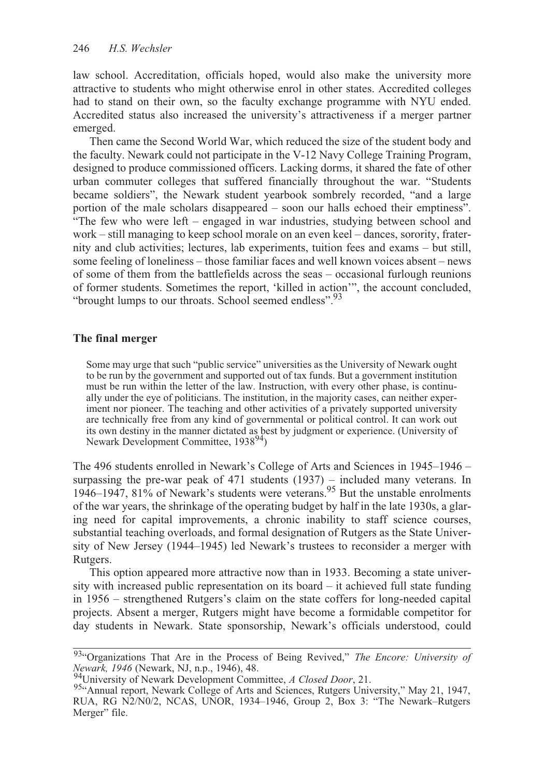law school. Accreditation, officials hoped, would also make the university more attractive to students who might otherwise enrol in other states. Accredited colleges had to stand on their own, so the faculty exchange programme with NYU ended. Accredited status also increased the university's attractiveness if a merger partner emerged.

Then came the Second World War, which reduced the size of the student body and the faculty. Newark could not participate in the V-12 Navy College Training Program, designed to produce commissioned officers. Lacking dorms, it shared the fate of other urban commuter colleges that suffered financially throughout the war. "Students became soldiers", the Newark student yearbook sombrely recorded, "and a large portion of the male scholars disappeared – soon our halls echoed their emptiness". "The few who were left – engaged in war industries, studying between school and work – still managing to keep school morale on an even keel – dances, sorority, fraternity and club activities; lectures, lab experiments, tuition fees and exams – but still, some feeling of loneliness – those familiar faces and well known voices absent – news of some of them from the battlefields across the seas – occasional furlough reunions of former students. Sometimes the report, 'killed in action'", the account concluded, "brought lumps to our throats. School seemed endless".<sup>93</sup>

#### **The final merger**

Some may urge that such "public service" universities as the University of Newark ought to be run by the government and supported out of tax funds. But a government institution must be run within the letter of the law. Instruction, with every other phase, is continually under the eye of politicians. The institution, in the majority cases, can neither experiment nor pioneer. The teaching and other activities of a privately supported university are technically free from any kind of governmental or political control. It can work out its own destiny in the manner dictated as best by judgment or experience. (University of Newark Development Committee, 1938<sup>94</sup>)

The 496 students enrolled in Newark's College of Arts and Sciences in 1945–1946 – surpassing the pre-war peak of 471 students (1937) – included many veterans. In 1946–1947, 81% of Newark's students were veterans.<sup>95</sup> But the unstable enrolments of the war years, the shrinkage of the operating budget by half in the late 1930s, a glaring need for capital improvements, a chronic inability to staff science courses, substantial teaching overloads, and formal designation of Rutgers as the State University of New Jersey (1944–1945) led Newark's trustees to reconsider a merger with Rutgers.

This option appeared more attractive now than in 1933. Becoming a state university with increased public representation on its board – it achieved full state funding in 1956 – strengthened Rutgers's claim on the state coffers for long-needed capital projects. Absent a merger, Rutgers might have become a formidable competitor for day students in Newark. State sponsorship, Newark's officials understood, could

<sup>93&</sup>quot;Organizations That Are in the Process of Being Revived," *The Encore: University of Newark, 1946* (Newark, NJ, n.p., 1946), 48.<br><sup>94</sup>University of Newark Development Committee, *A Closed Door*, 21.<br><sup>95</sup>"Annual report, Newark College of Arts and Sciences, Rutgers University," May 21, 1947,

RUA, RG N2/N0/2, NCAS, UNOR, 1934–1946, Group 2, Box 3: "The Newark–Rutgers Merger" file.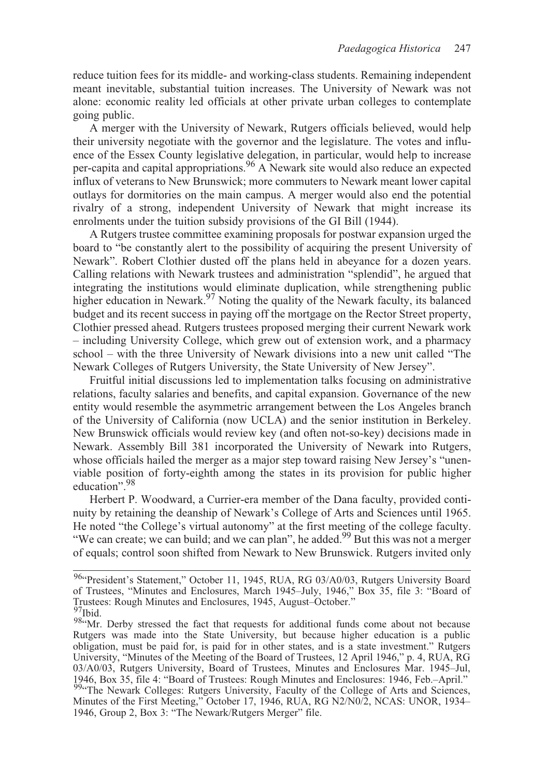reduce tuition fees for its middle- and working-class students. Remaining independent meant inevitable, substantial tuition increases. The University of Newark was not alone: economic reality led officials at other private urban colleges to contemplate going public.

A merger with the University of Newark, Rutgers officials believed, would help their university negotiate with the governor and the legislature. The votes and influence of the Essex County legislative delegation, in particular, would help to increase per-capita and capital appropriations.96 A Newark site would also reduce an expected influx of veterans to New Brunswick; more commuters to Newark meant lower capital outlays for dormitories on the main campus. A merger would also end the potential rivalry of a strong, independent University of Newark that might increase its enrolments under the tuition subsidy provisions of the GI Bill (1944).

A Rutgers trustee committee examining proposals for postwar expansion urged the board to "be constantly alert to the possibility of acquiring the present University of Newark". Robert Clothier dusted off the plans held in abeyance for a dozen years. Calling relations with Newark trustees and administration "splendid", he argued that integrating the institutions would eliminate duplication, while strengthening public higher education in Newark.<sup>97</sup> Noting the quality of the Newark faculty, its balanced budget and its recent success in paying off the mortgage on the Rector Street property, Clothier pressed ahead. Rutgers trustees proposed merging their current Newark work – including University College, which grew out of extension work, and a pharmacy school – with the three University of Newark divisions into a new unit called "The Newark Colleges of Rutgers University, the State University of New Jersey".

Fruitful initial discussions led to implementation talks focusing on administrative relations, faculty salaries and benefits, and capital expansion. Governance of the new entity would resemble the asymmetric arrangement between the Los Angeles branch of the University of California (now UCLA) and the senior institution in Berkeley. New Brunswick officials would review key (and often not-so-key) decisions made in Newark. Assembly Bill 381 incorporated the University of Newark into Rutgers, whose officials hailed the merger as a major step toward raising New Jersey's "unenviable position of forty-eighth among the states in its provision for public higher education".98

Herbert P. Woodward, a Currier-era member of the Dana faculty, provided continuity by retaining the deanship of Newark's College of Arts and Sciences until 1965. He noted "the College's virtual autonomy" at the first meeting of the college faculty. "We can create; we can build; and we can plan", he added.<sup>99</sup> But this was not a merger of equals; control soon shifted from Newark to New Brunswick. Rutgers invited only

<sup>96&</sup>lt;sup>"</sup>President's Statement," October 11, 1945, RUA, RG 03/A0/03, Rutgers University Board of Trustees, "Minutes and Enclosures, March 1945–July, 1946," Box 35, file 3: "Board of Trustees: Rough Minutes and Enclosures, 1945, August–October."<br><sup>97</sup><sub>0</sub>abid.

<sup>98&</sup>quot;Mr. Derby stressed the fact that requests for additional funds come about not because Rutgers was made into the State University, but because higher education is a public obligation, must be paid for, is paid for in other states, and is a state investment." Rutgers University, "Minutes of the Meeting of the Board of Trustees, 12 April 1946," p. 4, RUA, RG 03/A0/03, Rutgers University, Board of Trustees, Minutes and Enclosures Mar. 1945–Jul, 1946, Box 35, file 4: "Board of Trustees: Rough Minutes and Enclosures: 1946, Feb.–April." 99"The Newark Colleges: Rutgers University, Faculty of the College of Arts and Sciences, Minutes of the First Meeting," October 17, 1946, RUA, RG N2/N0/2, NCAS: UNOR, 1934– 1946, Group 2, Box 3: "The Newark/Rutgers Merger" file.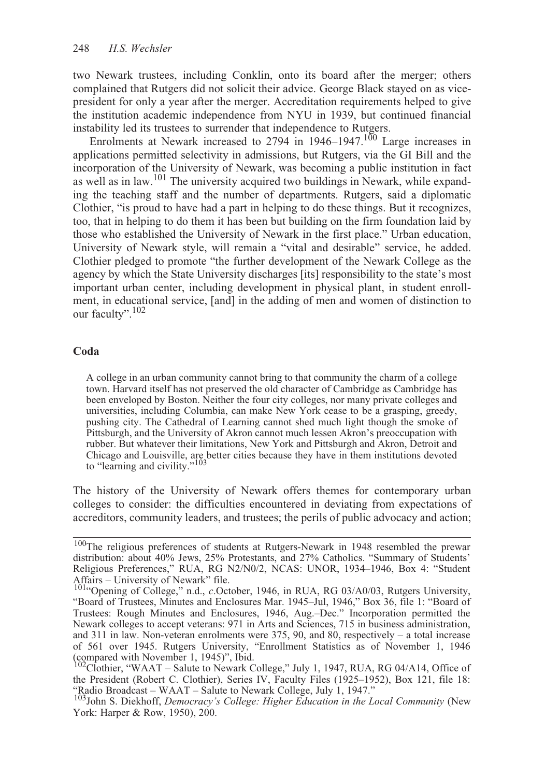two Newark trustees, including Conklin, onto its board after the merger; others complained that Rutgers did not solicit their advice. George Black stayed on as vicepresident for only a year after the merger. Accreditation requirements helped to give the institution academic independence from NYU in 1939, but continued financial instability led its trustees to surrender that independence to Rutgers.

Enrolments at Newark increased to 2794 in 1946–1947.100 Large increases in applications permitted selectivity in admissions, but Rutgers, via the GI Bill and the incorporation of the University of Newark, was becoming a public institution in fact as well as in law.101 The university acquired two buildings in Newark, while expanding the teaching staff and the number of departments. Rutgers, said a diplomatic Clothier, "is proud to have had a part in helping to do these things. But it recognizes, too, that in helping to do them it has been but building on the firm foundation laid by those who established the University of Newark in the first place." Urban education, University of Newark style, will remain a "vital and desirable" service, he added. Clothier pledged to promote "the further development of the Newark College as the agency by which the State University discharges [its] responsibility to the state's most important urban center, including development in physical plant, in student enrollment, in educational service, [and] in the adding of men and women of distinction to our faculty".<sup>102</sup>

#### **Coda**

A college in an urban community cannot bring to that community the charm of a college town. Harvard itself has not preserved the old character of Cambridge as Cambridge has been enveloped by Boston. Neither the four city colleges, nor many private colleges and universities, including Columbia, can make New York cease to be a grasping, greedy, pushing city. The Cathedral of Learning cannot shed much light though the smoke of Pittsburgh, and the University of Akron cannot much lessen Akron's preoccupation with rubber. But whatever their limitations, New York and Pittsburgh and Akron, Detroit and Chicago and Louisville, are better cities because they have in them institutions devoted to "learning and civility."<sup>103</sup>

The history of the University of Newark offers themes for contemporary urban colleges to consider: the difficulties encountered in deviating from expectations of accreditors, community leaders, and trustees; the perils of public advocacy and action;

<sup>100</sup>The religious preferences of students at Rutgers-Newark in 1948 resembled the prewar distribution: about 40% Jews, 25% Protestants, and 27% Catholics. "Summary of Students' Religious Preferences," RUA, RG N2/N0/2, NCAS: UNOR, 1934–1946, Box 4: "Student Affairs – University of Newark" file.

<sup>101&</sup>quot;Opening of College," n.d., *c*.October, 1946, in RUA, RG 03/A0/03, Rutgers University, "Board of Trustees, Minutes and Enclosures Mar. 1945–Jul, 1946," Box 36, file 1: "Board of Trustees: Rough Minutes and Enclosures, 1946, Aug.–Dec." Incorporation permitted the Newark colleges to accept veterans: 971 in Arts and Sciences, 715 in business administration, and 311 in law. Non-veteran enrolments were  $375$ , 90, and 80, respectively – a total increase of 561 over 1945. Rutgers University, "Enrollment Statistics as of November 1, 1946

<sup>(</sup>compared with November 1, 1945)", Ibid.<br><sup>102</sup>Clothier, "WAAT – Salute to Newark College," July 1, 1947, RUA, RG 04/A14, Office of the President (Robert C. Clothier), Series IV, Faculty Files (1925–1952), Box 121, file 18: "Radio Broadcast – WAAT – Salute to Newark College, July 1, 1947."

<sup>103</sup>John S. Diekhoff, *Democracy's College: Higher Education in the Local Community* (New York: Harper & Row, 1950), 200.